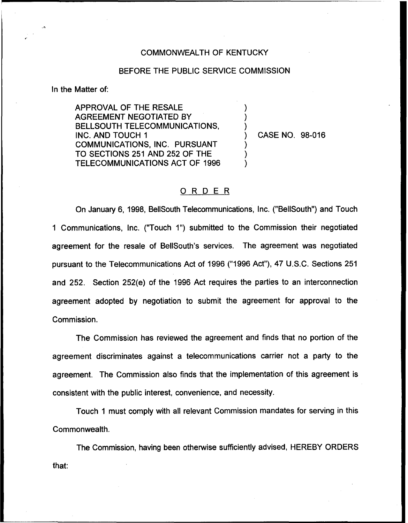## COMMONWEALTH OF KENTUCKY

## BEFORE THE PUBLIC SERVICE COMMISSION

) ) )

) ) )

In the Matter of:

APPROVAL OF THE RESALE AGREEMENT NEGOTIATED BY BELLSOUTH TELECOMMUNICATIONS, INC. AND TOUCH 1 COMMUNICATIONS, INC. PURSUANT TO SECTIONS 251 AND 252 OF THE TELECOMMUNICATIONS ACT OF 1996

) CASE NO. 98-016

## ORDER

On January 6, 1998, BellSouth Telecommunications, Inc. ("BellSouth") and Touch <sup>1</sup> Communications, lnc. ("Touch 1") submitted to the Commission their negotiated agreement for the resale of BellSouth's services. The agreement was negotiated pursuant to the Telecommunications Act of 1996 ("1996Act"), 47 U.S.C. Sections 251 and 252. Section 252(e) of the 1996 Act requires the parties to an interconnection agreement adopted by negotiation to submit the agreement for approval to the Commission.

The Commission has reviewed the agreement and finds that no portion of the agreement discriminates against a telecommunications carrier not a party to the agreement. The Commission also finds that the implementation of this agreement is consistent with the public interest, convenience, and necessity.

Touch 1 must comply with all relevant Commission mandates for serving in this Commonwealth.

The Commission, having been otherwise sufficiently advised, HEREBY ORDERSthat: